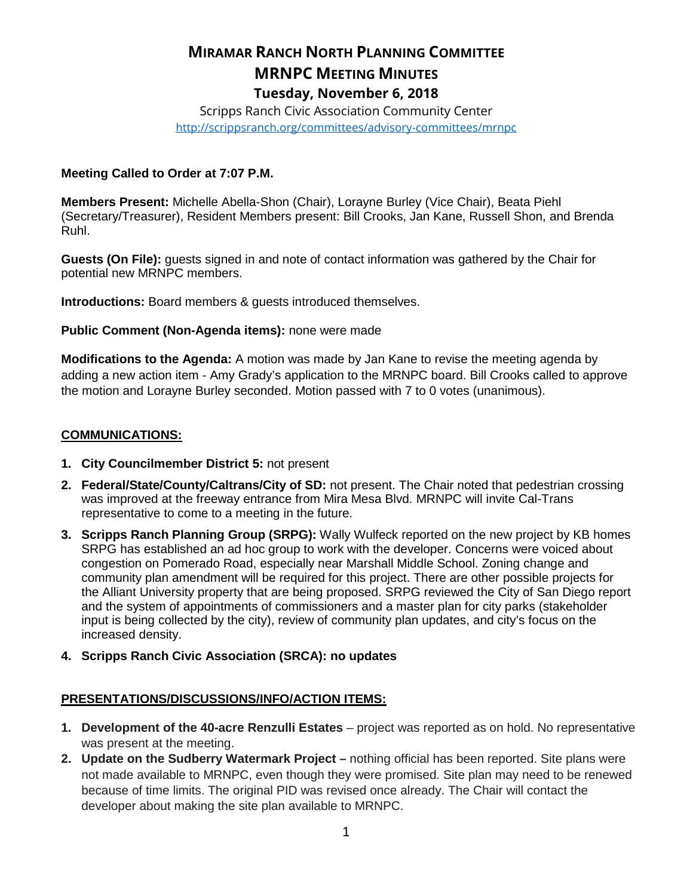# **MIRAMAR RANCH NORTH PLANNING COMMITTEE MRNPC MEETING MINUTES Tuesday, November 6, 2018**

Scripps Ranch Civic Association Community Center <http://scrippsranch.org/committees/advisory-committees/mrnpc>

### **Meeting Called to Order at 7:07 P.M.**

**Members Present:** Michelle Abella-Shon (Chair), Lorayne Burley (Vice Chair), Beata Piehl (Secretary/Treasurer), Resident Members present: Bill Crooks, Jan Kane, Russell Shon, and Brenda Ruhl.

**Guests (On File):** guests signed in and note of contact information was gathered by the Chair for potential new MRNPC members.

**Introductions:** Board members & guests introduced themselves.

**Public Comment (Non-Agenda items):** none were made

**Modifications to the Agenda:** A motion was made by Jan Kane to revise the meeting agenda by adding a new action item - Amy Grady's application to the MRNPC board. Bill Crooks called to approve the motion and Lorayne Burley seconded. Motion passed with 7 to 0 votes (unanimous).

### **COMMUNICATIONS:**

- **1. City Councilmember District 5:** not present
- **2. Federal/State/County/Caltrans/City of SD:** not present. The Chair noted that pedestrian crossing was improved at the freeway entrance from Mira Mesa Blvd. MRNPC will invite Cal-Trans representative to come to a meeting in the future.
- **3. Scripps Ranch Planning Group (SRPG):** Wally Wulfeck reported on the new project by KB homes SRPG has established an ad hoc group to work with the developer. Concerns were voiced about congestion on Pomerado Road, especially near Marshall Middle School. Zoning change and community plan amendment will be required for this project. There are other possible projects for the Alliant University property that are being proposed. SRPG reviewed the City of San Diego report and the system of appointments of commissioners and a master plan for city parks (stakeholder input is being collected by the city), review of community plan updates, and city's focus on the increased density.
- **4. Scripps Ranch Civic Association (SRCA): no updates**

### **PRESENTATIONS/DISCUSSIONS/INFO/ACTION ITEMS:**

- **1. Development of the 40-acre Renzulli Estates** project was reported as on hold. No representative was present at the meeting.
- **2. Update on the Sudberry Watermark Project –** nothing official has been reported. Site plans were not made available to MRNPC, even though they were promised. Site plan may need to be renewed because of time limits. The original PID was revised once already. The Chair will contact the developer about making the site plan available to MRNPC.